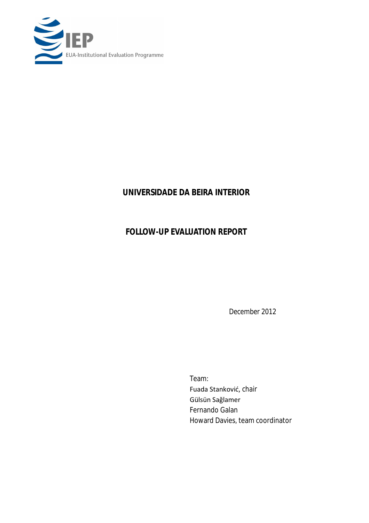

# **UNIVERSIDADE DA BEIRA INTERIOR**

# *FOLLOW-UP EVALUATION REPORT*

*December 2012*

Team: Fuada Stanković, chair Gülsün Sağlamer Fernando Galan Howard Davies, team coordinator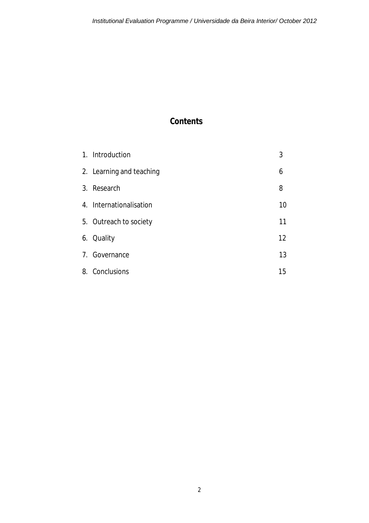# **Contents**

| 1. Introduction          | 3  |
|--------------------------|----|
| 2. Learning and teaching | 6  |
| 3. Research              | 8  |
| 4. Internationalisation  | 10 |
| 5. Outreach to society   | 11 |
| 6. Quality               | 12 |
| 7. Governance            | 13 |
| 8. Conclusions           | 15 |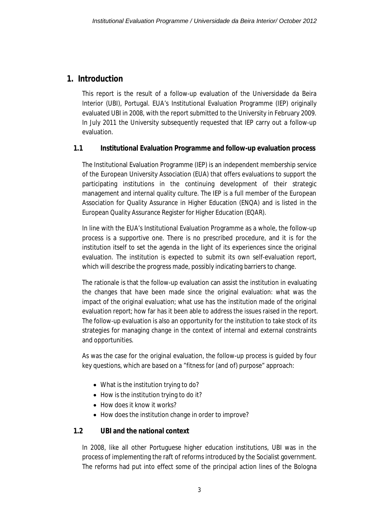### **1. Introduction**

This report is the result of a follow-up evaluation of the Universidade da Beira Interior (UBI), Portugal. EUA's Institutional Evaluation Programme (IEP) originally evaluated UBI in 2008, with the report submitted to the University in February 2009. In July 2011 the University subsequently requested that IEP carry out a follow-up evaluation.

#### **1.1 Institutional Evaluation Programme and follow-up evaluation process**

The Institutional Evaluation Programme (IEP) is an independent membership service of the European University Association (EUA) that offers evaluations to support the participating institutions in the continuing development of their strategic management and internal quality culture. The IEP is a full member of the European Association for Quality Assurance in Higher Education (ENQA) and is listed in the European Quality Assurance Register for Higher Education (EQAR).

In line with the EUA's Institutional Evaluation Programme as a whole, the follow-up process is a supportive one. There is no prescribed procedure, and it is for the institution itself to set the agenda in the light of its experiences since the original evaluation. The institution is expected to submit its own self-evaluation report, which will describe the progress made, possibly indicating barriers to change.

The rationale is that the follow-up evaluation can assist the institution in evaluating the changes that have been made since the original evaluation: what was the impact of the original evaluation; what use has the institution made of the original evaluation report; how far has it been able to address the issues raised in the report. The follow-up evaluation is also an opportunity for the institution to take stock of its strategies for managing change in the context of internal and external constraints and opportunities.

As was the case for the original evaluation, the follow-up process is guided by four key questions, which are based on a "fitness for (and of) purpose" approach:

- What is the institution trying to do?
- How is the institution trying to do it?
- How does it know it works?
- How does the institution change in order to improve?

#### **1.2 UBI and the national context**

In 2008, like all other Portuguese higher education institutions, UBI was in the process of implementing the raft of reforms introduced by the Socialist government. The reforms had put into effect some of the principal action lines of the Bologna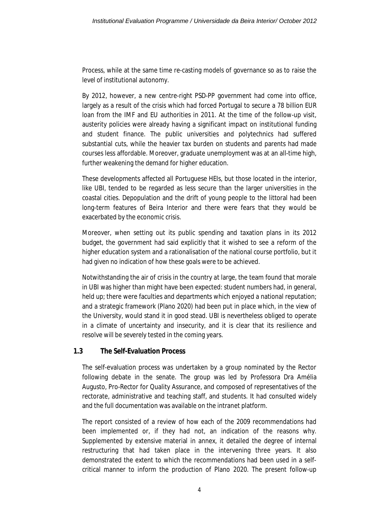Process, while at the same time re-casting models of governance so as to raise the level of institutional autonomy.

By 2012, however, a new centre-right PSD-PP government had come into office, largely as a result of the crisis which had forced Portugal to secure a 78 billion EUR loan from the IMF and EU authorities in 2011. At the time of the follow-up visit, austerity policies were already having a significant impact on institutional funding and student finance. The public universities and polytechnics had suffered substantial cuts, while the heavier tax burden on students and parents had made courses less affordable. Moreover, graduate unemployment was at an all-time high, further weakening the demand for higher education.

These developments affected all Portuguese HEIs, but those located in the interior, like UBI, tended to be regarded as less secure than the larger universities in the coastal cities. Depopulation and the drift of young people to the littoral had been long-term features of Beira Interior and there were fears that they would be exacerbated by the economic crisis.

Moreover, when setting out its public spending and taxation plans in its 2012 budget, the government had said explicitly that it wished to see a reform of the higher education system and a rationalisation of the national course portfolio, but it had given no indication of how these goals were to be achieved.

Notwithstanding the air of crisis in the country at large, the team found that morale in UBI was higher than might have been expected: student numbers had, in general, held up; there were faculties and departments which enjoyed a national reputation; and a strategic framework (Plano 2020) had been put in place which, in the view of the University, would stand it in good stead. UBI is nevertheless obliged to operate in a climate of uncertainty and insecurity, and it is clear that its resilience and resolve will be severely tested in the coming years.

#### **1.3 The Self-Evaluation Process**

The self-evaluation process was undertaken by a group nominated by the Rector following debate in the senate. The group was led by Professora Dra Amélia Augusto, Pro-Rector for Quality Assurance, and composed of representatives of the rectorate, administrative and teaching staff, and students. It had consulted widely and the full documentation was available on the intranet platform.

The report consisted of a review of how each of the 2009 recommendations had been implemented or, if they had not, an indication of the reasons why. Supplemented by extensive material in annex, it detailed the degree of internal restructuring that had taken place in the intervening three years. It also demonstrated the extent to which the recommendations had been used in a selfcritical manner to inform the production of Plano 2020. The present follow-up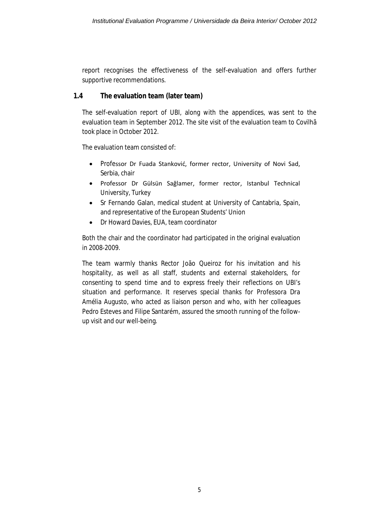report recognises the effectiveness of the self-evaluation and offers further supportive recommendations.

#### **1.4 The evaluation team (later team)**

The self-evaluation report of UBI, along with the appendices, was sent to the evaluation team in September 2012. The site visit of the evaluation team to Covilhã took place in October 2012.

The evaluation team consisted of:

- Professor Dr Fuada Stanković, former rector, University of Novi Sad, Serbia, chair
- Professor Dr Gülsün Sağlamer, former rector, Istanbul Technical University, Turkey
- Sr Fernando Galan, medical student at University of Cantabria, Spain, and representative of the European Students' Union
- Dr Howard Davies, EUA, team coordinator

Both the chair and the coordinator had participated in the original evaluation in 2008-2009.

The team warmly thanks Rector João Queiroz for his invitation and his hospitality, as well as all staff, students and external stakeholders, for consenting to spend time and to express freely their reflections on UBI's situation and performance. It reserves special thanks for Professora Dra Amélia Augusto, who acted as liaison person and who, with her colleagues Pedro Esteves and Filipe Santarém, assured the smooth running of the followup visit and our well-being.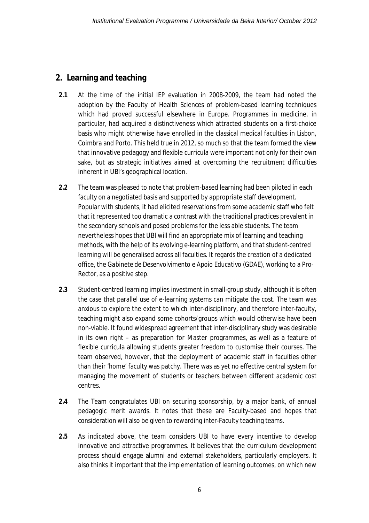### **2. Learning and teaching**

- **2.1** At the time of the initial IEP evaluation in 2008-2009, the team had noted the adoption by the Faculty of Health Sciences of problem-based learning techniques which had proved successful elsewhere in Europe. Programmes in medicine, in particular, had acquired a distinctiveness which attracted students on a first-choice basis who might otherwise have enrolled in the classical medical faculties in Lisbon, Coimbra and Porto. This held true in 2012, so much so that the team formed the view that innovative pedagogy and flexible curricula were important not only for their own sake, but as strategic initiatives aimed at overcoming the recruitment difficulties inherent in UBI's geographical location.
- **2.2** The team was pleased to note that problem-based learning had been piloted in each faculty on a negotiated basis and supported by appropriate staff development. Popular with students, it had elicited reservations from some academic staff who felt that it represented too dramatic a contrast with the traditional practices prevalent in the secondary schools and posed problems for the less able students. The team nevertheless hopes that UBI will find an appropriate mix of learning and teaching methods, with the help of its evolving e-learning platform, and that student-centred learning will be generalised across all faculties. It regards the creation of a dedicated office, the *Gabinete de Desenvolvimento e Apoio Educativo* (GDAE), working to a Pro-Rector, as a positive step.
- **2.3** Student-centred learning implies investment in small-group study, although it is often the case that parallel use of e-learning systems can mitigate the cost. The team was anxious to explore the extent to which inter-disciplinary, and therefore inter-faculty, teaching might also expand some cohorts/groups which would otherwise have been non-viable. It found widespread agreement that inter-disciplinary study was desirable in its own right – as preparation for Master programmes, as well as a feature of flexible curricula allowing students greater freedom to customise their courses. The team observed, however, that the deployment of academic staff in faculties other than their 'home' faculty was patchy. There was as yet no effective central system for managing the movement of students or teachers between different academic cost centres.
- **2.4** The Team congratulates UBI on securing sponsorship, by a major bank, of annual pedagogic merit awards. It notes that these are Faculty-based and hopes that consideration will also be given to rewarding inter-Faculty teaching teams.
- **2.5** As indicated above, the team considers UBI to have every incentive to develop innovative and attractive programmes. It believes that the curriculum development process should engage alumni and external stakeholders, particularly employers. It also thinks it important that the implementation of learning outcomes, on which new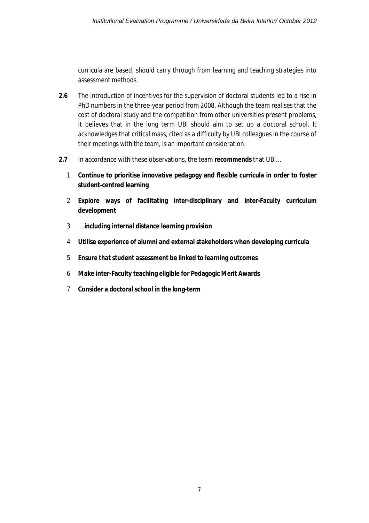curricula are based, should carry through from learning and teaching strategies into assessment methods.

- **2.6** The introduction of incentives for the supervision of doctoral students led to a rise in PhD numbers in the three-year period from 2008. Although the team realises that the cost of doctoral study and the competition from other universities present problems, it believes that in the long term UBI should aim to set up a doctoral school. It acknowledges that critical mass, cited as a difficulty by UBI colleagues in the course of their meetings with the team, is an important consideration.
- **2.7** In accordance with these observations, the team **recommends** that UBI…
	- 1 **Continue to prioritise innovative pedagogy and flexible curricula in order to foster student-centred learning**
	- 2 **Explore ways of facilitating inter-disciplinary and inter-Faculty curriculum development**
	- 3 … **including internal distance learning provision**
	- 4 **Utilise experience of alumni and external stakeholders when developing curricula**
	- 5 **Ensure that student assessment be linked to learning outcomes**
	- 6 **Make inter-Faculty teaching eligible for Pedagogic Merit Awards**
	- 7 **Consider a doctoral school in the long-term**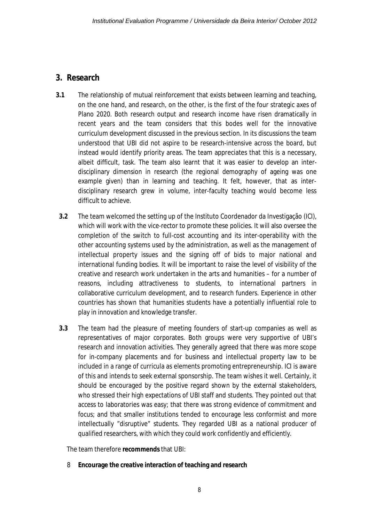### **3. Research**

- **3.1** The relationship of mutual reinforcement that exists between learning and teaching, on the one hand, and research, on the other, is the first of the four strategic axes of Plano 2020. Both research output and research income have risen dramatically in recent years and the team considers that this bodes well for the innovative curriculum development discussed in the previous section. In its discussions the team understood that UBI did not aspire to be research-intensive across the board, but instead would identify priority areas. The team appreciates that this is a necessary, albeit difficult, task. The team also learnt that it was easier to develop an interdisciplinary dimension in research (the regional demography of ageing was one example given) than in learning and teaching. It felt, however, that as interdisciplinary research grew in volume, inter-faculty teaching would become less difficult to achieve.
- **3.2** The team welcomed the setting up of the Instituto Coordenador da Investigação (ICI), which will work with the vice-rector to promote these policies. It will also oversee the completion of the switch to full-cost accounting and its inter-operability with the other accounting systems used by the administration, as well as the management of intellectual property issues and the signing off of bids to major national and international funding bodies. It will be important to raise the level of visibility of the creative and research work undertaken in the arts and humanities – for a number of reasons, including attractiveness to students, to international partners in collaborative curriculum development, and to research funders. Experience in other countries has shown that humanities students have a potentially influential role to play in innovation and knowledge transfer.
- **3.3** The team had the pleasure of meeting founders of start-up companies as well as representatives of major corporates. Both groups were very supportive of UBI's research and innovation activities. They generally agreed that there was more scope for in-company placements and for business and intellectual property law to be included in a range of curricula as elements promoting entrepreneurship. ICI is aware of this and intends to seek external sponsorship. The team wishes it well. Certainly, it should be encouraged by the positive regard shown by the external stakeholders, who stressed their high expectations of UBI staff and students. They pointed out that access to laboratories was easy; that there was strong evidence of commitment and focus; and that smaller institutions tended to encourage less conformist and more intellectually "disruptive" students. They regarded UBI as a national producer of qualified researchers, with which they could work confidently and efficiently.

The team therefore **recommends** that UBI:

8 **Encourage the creative interaction of teaching and research**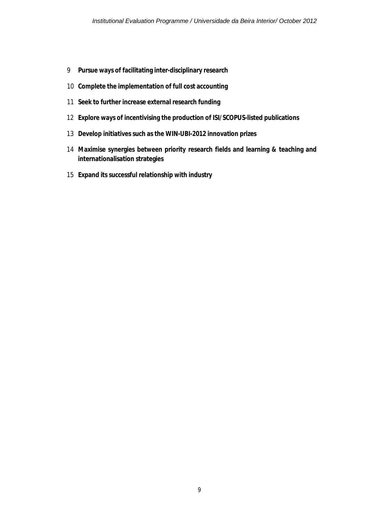- **Pursue ways of facilitating inter-disciplinary research**
- **Complete the implementation of full cost accounting**
- **Seek to further increase external research funding**
- **Explore ways of incentivising the production of ISI/SCOPUS-listed publications**
- **Develop initiatives such as the WIN-UBI-2012 innovation prizes**
- **Maximise synergies between priority research fields and learning & teaching and internationalisation strategies**
- **Expand its successful relationship with industry**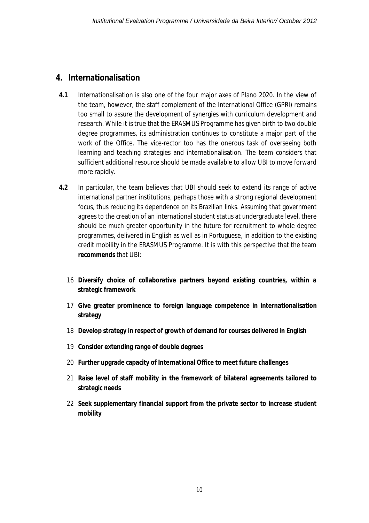#### **4. Internationalisation**

- **4.1** Internationalisation is also one of the four major axes of Plano 2020. In the view of the team, however, the staff complement of the International Office (GPRI) remains too small to assure the development of synergies with curriculum development and research. While it is true that the ERASMUS Programme has given birth to two double degree programmes, its administration continues to constitute a major part of the work of the Office. The vice-rector too has the onerous task of overseeing both learning and teaching strategies and internationalisation. The team considers that sufficient additional resource should be made available to allow UBI to move forward more rapidly.
- **4.2** In particular, the team believes that UBI should seek to extend its range of active international partner institutions, perhaps those with a strong regional development focus, thus reducing its dependence on its Brazilian links. Assuming that government agrees to the creation of an international student status at undergraduate level, there should be much greater opportunity in the future for recruitment to whole degree programmes, delivered in English as well as in Portuguese, in addition to the existing credit mobility in the ERASMUS Programme. It is with this perspective that the team **recommends** that UBI:
	- 16 **Diversify choice of collaborative partners beyond existing countries, within a strategic framework**
	- 17 **Give greater prominence to foreign language competence in internationalisation strategy**
	- 18 **Develop strategy in respect of growth of demand for courses delivered in English**
	- 19 **Consider extending range of double degrees**
	- 20 **Further upgrade capacity of International Office to meet future challenges**
	- 21 **Raise level of staff mobility in the framework of bilateral agreements tailored to strategic needs**
	- 22 **Seek supplementary financial support from the private sector to increase student mobility**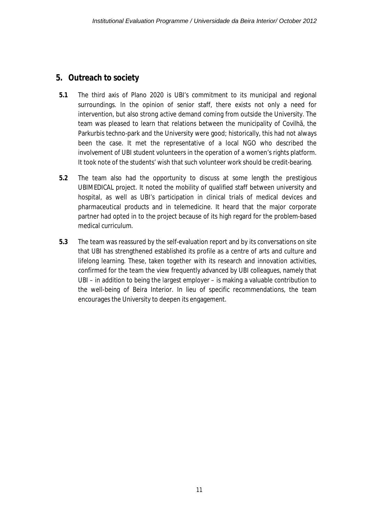### **5. Outreach to society**

- **5.1** The third axis of Plano 2020 is UBI's commitment to its municipal and regional surroundings. In the opinion of senior staff, there exists not only a need for intervention, but also strong active demand coming from outside the University. The team was pleased to learn that relations between the municipality of Covilhã, the Parkurbis techno-park and the University were good; historically, this had not always been the case. It met the representative of a local NGO who described the involvement of UBI student volunteers in the operation of a women's rights platform. It took note of the students' wish that such volunteer work should be credit-bearing.
- **5.2** The team also had the opportunity to discuss at some length the prestigious UBIMEDICAL project. It noted the mobility of qualified staff between university and hospital, as well as UBI's participation in clinical trials of medical devices and pharmaceutical products and in telemedicine. It heard that the major corporate partner had opted in to the project because of its high regard for the problem-based medical curriculum.
- **5.3** The team was reassured by the self-evaluation report and by its conversations on site that UBI has strengthened established its profile as a centre of arts and culture and lifelong learning. These, taken together with its research and innovation activities, confirmed for the team the view frequently advanced by UBI colleagues, namely that UBI – in addition to being the largest employer – is making a valuable contribution to the well-being of Beira Interior. In lieu of specific recommendations, the team encourages the University to deepen its engagement.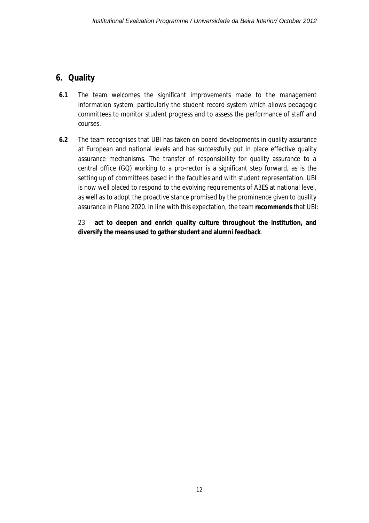### **6. Quality**

- **6.1** The team welcomes the significant improvements made to the management information system, particularly the student record system which allows pedagogic committees to monitor student progress and to assess the performance of staff and courses.
- **6.2** The team recognises that UBI has taken on board developments in quality assurance at European and national levels and has successfully put in place effective quality assurance mechanisms. The transfer of responsibility for quality assurance to a central office (GQ) working to a pro-rector is a significant step forward, as is the setting up of committees based in the faculties and with student representation. UBI is now well placed to respond to the evolving requirements of A3ES at national level, as well as to adopt the proactive stance promised by the prominence given to quality assurance in Plano 2020. In line with this expectation, the team **recommends** that UBI:

23 **act to deepen and enrich quality culture throughout the institution, and diversify the means used to gather student and alumni feedback**.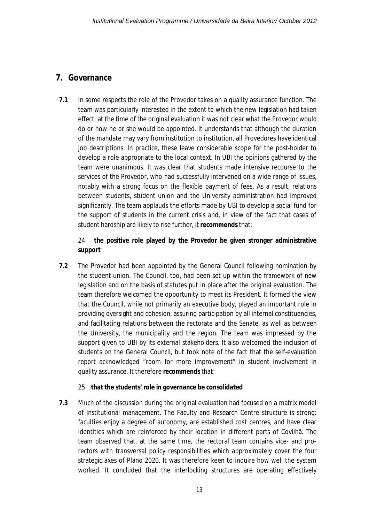### **7. Governance**

**7.1** In some respects the role of the Provedor takes on a quality assurance function. The team was particularly interested in the extent to which the new legislation had taken effect; at the time of the original evaluation it was not clear what the Provedor would do or how he or she would be appointed. It understands that although the duration of the mandate may vary from institution to institution, all Provedores have identical job descriptions. In practice, these leave considerable scope for the post-holder to develop a role appropriate to the local context. In UBI the opinions gathered by the team were unanimous. It was clear that students made intensive recourse to the services of the Provedor, who had successfully intervened on a wide range of issues, notably with a strong focus on the flexible payment of fees. As a result, relations between students, student union and the University administration had improved significantly. The team applauds the efforts made by UBI to develop a social fund for the support of students in the current crisis and, in view of the fact that cases of student hardship are likely to rise further, it **recommends** that:

#### 24 **the positive role played by the Provedor be given stronger administrative support**

**7.2** The Provedor had been appointed by the General Council following nomination by the student union. The Council, too, had been set up within the framework of new legislation and on the basis of statutes put in place after the original evaluation. The team therefore welcomed the opportunity to meet its President. It formed the view that the Council, while not primarily an executive body, played an important role in providing oversight and cohesion, assuring participation by all internal constituencies, and facilitating relations between the rectorate and the Senate, as well as between the University, the municipality and the region. The team was impressed by the support given to UBI by its external stakeholders. It also welcomed the inclusion of students on the General Council, but took note of the fact that the self-evaluation report acknowledged "room for more improvement" in student involvement in quality assurance. It therefore **recommends** that:

#### 25 **that the students' role in governance be consolidated**

**7.3** Much of the discussion during the original evaluation had focused on a matrix model of institutional management. The Faculty and Research Centre structure is strong: faculties enjoy a degree of autonomy, are established cost centres, and have clear identities which are reinforced by their location in different parts of Covilhã. The team observed that, at the same time, the rectoral team contains vice- and prorectors with transversal policy responsibilities which approximately cover the four strategic axes of Plano 2020. It was therefore keen to inquire how well the system worked. It concluded that the interlocking structures are operating effectively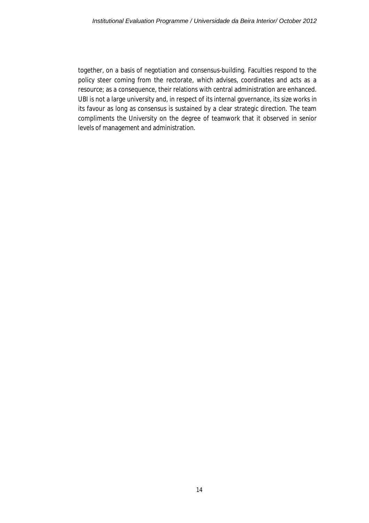together, on a basis of negotiation and consensus-building. Faculties respond to the policy steer coming from the rectorate, which advises, coordinates and acts as a resource; as a consequence, their relations with central administration are enhanced. UBI is not a large university and, in respect of its internal governance, its size works in its favour as long as consensus is sustained by a clear strategic direction. The team compliments the University on the degree of teamwork that it observed in senior levels of management and administration.